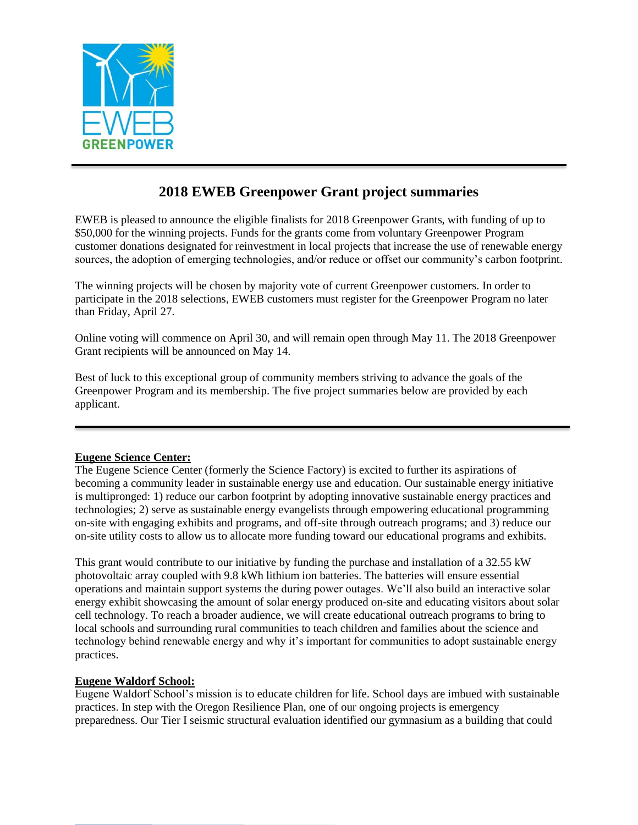

# **2018 EWEB Greenpower Grant project summaries**

EWEB is pleased to announce the eligible finalists for 2018 Greenpower Grants, with funding of up to \$50,000 for the winning projects. Funds for the grants come from voluntary Greenpower Program customer donations designated for reinvestment in local projects that increase the use of renewable energy sources, the adoption of emerging technologies, and/or reduce or offset our community's carbon footprint.

The winning projects will be chosen by majority vote of current Greenpower customers. In order to participate in the 2018 selections, EWEB customers must register for the Greenpower Program no later than Friday, April 27.

Online voting will commence on April 30, and will remain open through May 11. The 2018 Greenpower Grant recipients will be announced on May 14.

Best of luck to this exceptional group of community members striving to advance the goals of the Greenpower Program and its membership. The five project summaries below are provided by each applicant.

# **Eugene Science Center:**

The Eugene Science Center (formerly the Science Factory) is excited to further its aspirations of becoming a community leader in sustainable energy use and education. Our sustainable energy initiative is multipronged: 1) reduce our carbon footprint by adopting innovative sustainable energy practices and technologies; 2) serve as sustainable energy evangelists through empowering educational programming on-site with engaging exhibits and programs, and off-site through outreach programs; and 3) reduce our on-site utility costs to allow us to allocate more funding toward our educational programs and exhibits.

This grant would contribute to our initiative by funding the purchase and installation of a 32.55 kW photovoltaic array coupled with 9.8 kWh lithium ion batteries. The batteries will ensure essential operations and maintain support systems the during power outages. We'll also build an interactive solar energy exhibit showcasing the amount of solar energy produced on-site and educating visitors about solar cell technology. To reach a broader audience, we will create educational outreach programs to bring to local schools and surrounding rural communities to teach children and families about the science and technology behind renewable energy and why it's important for communities to adopt sustainable energy practices.

# **Eugene Waldorf School:**

Eugene Waldorf School's mission is to educate children for life. School days are imbued with sustainable practices. In step with the Oregon Resilience Plan, one of our ongoing projects is emergency preparedness. Our Tier I seismic structural evaluation identified our gymnasium as a building that could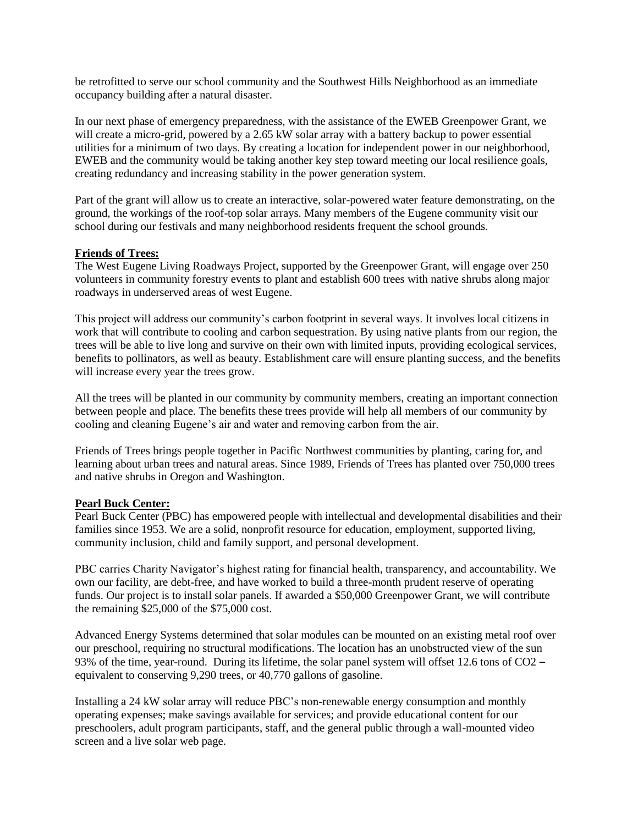be retrofitted to serve our school community and the Southwest Hills Neighborhood as an immediate occupancy building after a natural disaster.

In our next phase of emergency preparedness, with the assistance of the EWEB Greenpower Grant, we will create a micro-grid, powered by a 2.65 kW solar array with a battery backup to power essential utilities for a minimum of two days. By creating a location for independent power in our neighborhood, EWEB and the community would be taking another key step toward meeting our local resilience goals, creating redundancy and increasing stability in the power generation system.

Part of the grant will allow us to create an interactive, solar-powered water feature demonstrating, on the ground, the workings of the roof-top solar arrays. Many members of the Eugene community visit our school during our festivals and many neighborhood residents frequent the school grounds.

#### **Friends of Trees:**

The West Eugene Living Roadways Project, supported by the Greenpower Grant, will engage over 250 volunteers in community forestry events to plant and establish 600 trees with native shrubs along major roadways in underserved areas of west Eugene.

This project will address our community's carbon footprint in several ways. It involves local citizens in work that will contribute to cooling and carbon sequestration. By using native plants from our region, the trees will be able to live long and survive on their own with limited inputs, providing ecological services, benefits to pollinators, as well as beauty. Establishment care will ensure planting success, and the benefits will increase every year the trees grow.

All the trees will be planted in our community by community members, creating an important connection between people and place. The benefits these trees provide will help all members of our community by cooling and cleaning Eugene's air and water and removing carbon from the air.

Friends of Trees brings people together in Pacific Northwest communities by planting, caring for, and learning about urban trees and natural areas. Since 1989, Friends of Trees has planted over 750,000 trees and native shrubs in Oregon and Washington.

## **Pearl Buck Center:**

Pearl Buck Center (PBC) has empowered people with intellectual and developmental disabilities and their families since 1953. We are a solid, nonprofit resource for education, employment, supported living, community inclusion, child and family support, and personal development.

PBC carries Charity Navigator's highest rating for financial health, transparency, and accountability. We own our facility, are debt-free, and have worked to build a three-month prudent reserve of operating funds. Our project is to install solar panels. If awarded a \$50,000 Greenpower Grant, we will contribute the remaining \$25,000 of the \$75,000 cost.

Advanced Energy Systems determined that solar modules can be mounted on an existing metal roof over our preschool, requiring no structural modifications. The location has an unobstructed view of the sun 93% of the time, year-round. During its lifetime, the solar panel system will offset 12.6 tons of CO2 – equivalent to conserving 9,290 trees, or 40,770 gallons of gasoline.

Installing a 24 kW solar array will reduce PBC's non-renewable energy consumption and monthly operating expenses; make savings available for services; and provide educational content for our preschoolers, adult program participants, staff, and the general public through a wall-mounted video screen and a live solar web page.